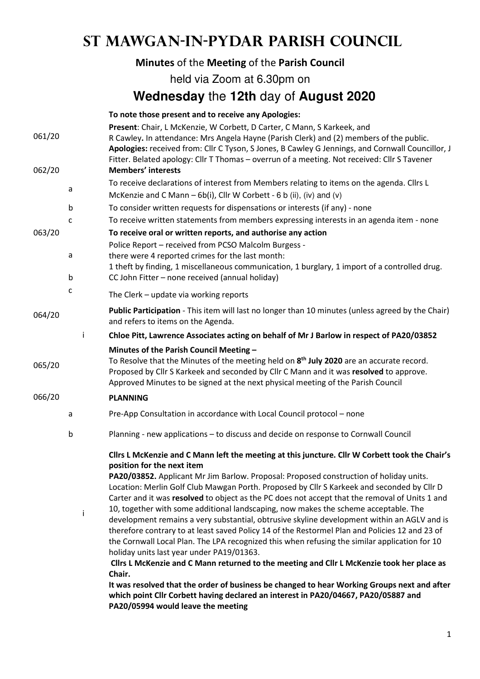## **St Mawgan-in-Pydar Parish Council**

|        |             | Minutes of the Meeting of the Parish Council                                                                                                                                                                                                                                                                                                                                                                                                                                                                                                                                                                                                                                                                                                                                                                                                                                                                                                                                                                                                                                                                                                             |
|--------|-------------|----------------------------------------------------------------------------------------------------------------------------------------------------------------------------------------------------------------------------------------------------------------------------------------------------------------------------------------------------------------------------------------------------------------------------------------------------------------------------------------------------------------------------------------------------------------------------------------------------------------------------------------------------------------------------------------------------------------------------------------------------------------------------------------------------------------------------------------------------------------------------------------------------------------------------------------------------------------------------------------------------------------------------------------------------------------------------------------------------------------------------------------------------------|
|        |             | held via Zoom at 6.30pm on                                                                                                                                                                                                                                                                                                                                                                                                                                                                                                                                                                                                                                                                                                                                                                                                                                                                                                                                                                                                                                                                                                                               |
|        |             | Wednesday the 12th day of August 2020                                                                                                                                                                                                                                                                                                                                                                                                                                                                                                                                                                                                                                                                                                                                                                                                                                                                                                                                                                                                                                                                                                                    |
|        |             | To note those present and to receive any Apologies:                                                                                                                                                                                                                                                                                                                                                                                                                                                                                                                                                                                                                                                                                                                                                                                                                                                                                                                                                                                                                                                                                                      |
| 061/20 |             | Present: Chair, L McKenzie, W Corbett, D Carter, C Mann, S Karkeek, and<br>R Cawley. In attendance: Mrs Angela Hayne (Parish Clerk) and (2) members of the public.<br>Apologies: received from: Cllr C Tyson, S Jones, B Cawley G Jennings, and Cornwall Councillor, J<br>Fitter. Belated apology: Cllr T Thomas - overrun of a meeting. Not received: Cllr S Tavener<br><b>Members' interests</b>                                                                                                                                                                                                                                                                                                                                                                                                                                                                                                                                                                                                                                                                                                                                                       |
| 062/20 |             | To receive declarations of interest from Members relating to items on the agenda. Cllrs L                                                                                                                                                                                                                                                                                                                                                                                                                                                                                                                                                                                                                                                                                                                                                                                                                                                                                                                                                                                                                                                                |
|        | a           | McKenzie and C Mann $-$ 6b(i), Cllr W Corbett - 6 b (ii), (iv) and (v)                                                                                                                                                                                                                                                                                                                                                                                                                                                                                                                                                                                                                                                                                                                                                                                                                                                                                                                                                                                                                                                                                   |
|        | b           | To consider written requests for dispensations or interests (if any) - none                                                                                                                                                                                                                                                                                                                                                                                                                                                                                                                                                                                                                                                                                                                                                                                                                                                                                                                                                                                                                                                                              |
|        | c           | To receive written statements from members expressing interests in an agenda item - none                                                                                                                                                                                                                                                                                                                                                                                                                                                                                                                                                                                                                                                                                                                                                                                                                                                                                                                                                                                                                                                                 |
| 063/20 |             | To receive oral or written reports, and authorise any action                                                                                                                                                                                                                                                                                                                                                                                                                                                                                                                                                                                                                                                                                                                                                                                                                                                                                                                                                                                                                                                                                             |
|        |             | Police Report - received from PCSO Malcolm Burgess -                                                                                                                                                                                                                                                                                                                                                                                                                                                                                                                                                                                                                                                                                                                                                                                                                                                                                                                                                                                                                                                                                                     |
|        | a           | there were 4 reported crimes for the last month:                                                                                                                                                                                                                                                                                                                                                                                                                                                                                                                                                                                                                                                                                                                                                                                                                                                                                                                                                                                                                                                                                                         |
|        | b           | 1 theft by finding, 1 miscellaneous communication, 1 burglary, 1 import of a controlled drug.<br>CC John Fitter - none received (annual holiday)                                                                                                                                                                                                                                                                                                                                                                                                                                                                                                                                                                                                                                                                                                                                                                                                                                                                                                                                                                                                         |
|        | c           |                                                                                                                                                                                                                                                                                                                                                                                                                                                                                                                                                                                                                                                                                                                                                                                                                                                                                                                                                                                                                                                                                                                                                          |
|        |             | The Clerk - update via working reports                                                                                                                                                                                                                                                                                                                                                                                                                                                                                                                                                                                                                                                                                                                                                                                                                                                                                                                                                                                                                                                                                                                   |
| 064/20 |             | Public Participation - This item will last no longer than 10 minutes (unless agreed by the Chair)<br>and refers to items on the Agenda.                                                                                                                                                                                                                                                                                                                                                                                                                                                                                                                                                                                                                                                                                                                                                                                                                                                                                                                                                                                                                  |
|        | Ť           | Chloe Pitt, Lawrence Associates acting on behalf of Mr J Barlow in respect of PA20/03852                                                                                                                                                                                                                                                                                                                                                                                                                                                                                                                                                                                                                                                                                                                                                                                                                                                                                                                                                                                                                                                                 |
| 065/20 |             | Minutes of the Parish Council Meeting -<br>To Resolve that the Minutes of the meeting held on 8 <sup>th</sup> July 2020 are an accurate record.<br>Proposed by Cllr S Karkeek and seconded by Cllr C Mann and it was resolved to approve.<br>Approved Minutes to be signed at the next physical meeting of the Parish Council                                                                                                                                                                                                                                                                                                                                                                                                                                                                                                                                                                                                                                                                                                                                                                                                                            |
| 066/20 |             | <b>PLANNING</b>                                                                                                                                                                                                                                                                                                                                                                                                                                                                                                                                                                                                                                                                                                                                                                                                                                                                                                                                                                                                                                                                                                                                          |
|        |             | Pre-App Consultation in accordance with Local Council protocol - none                                                                                                                                                                                                                                                                                                                                                                                                                                                                                                                                                                                                                                                                                                                                                                                                                                                                                                                                                                                                                                                                                    |
|        | $\mathsf b$ | Planning - new applications - to discuss and decide on response to Cornwall Council                                                                                                                                                                                                                                                                                                                                                                                                                                                                                                                                                                                                                                                                                                                                                                                                                                                                                                                                                                                                                                                                      |
|        | i           | Cllrs L McKenzie and C Mann left the meeting at this juncture. Cllr W Corbett took the Chair's<br>position for the next item<br>PA20/03852. Applicant Mr Jim Barlow. Proposal: Proposed construction of holiday units.<br>Location: Merlin Golf Club Mawgan Porth. Proposed by Cllr S Karkeek and seconded by Cllr D<br>Carter and it was resolved to object as the PC does not accept that the removal of Units 1 and<br>10, together with some additional landscaping, now makes the scheme acceptable. The<br>development remains a very substantial, obtrusive skyline development within an AGLV and is<br>therefore contrary to at least saved Policy 14 of the Restormel Plan and Policies 12 and 23 of<br>the Cornwall Local Plan. The LPA recognized this when refusing the similar application for 10<br>holiday units last year under PA19/01363.<br>Cllrs L McKenzie and C Mann returned to the meeting and Cllr L McKenzie took her place as<br>Chair.<br>It was resolved that the order of business be changed to hear Working Groups next and after<br>which point Cllr Corbett having declared an interest in PA20/04667, PA20/05887 and |

**PA20/05994 would leave the meeting**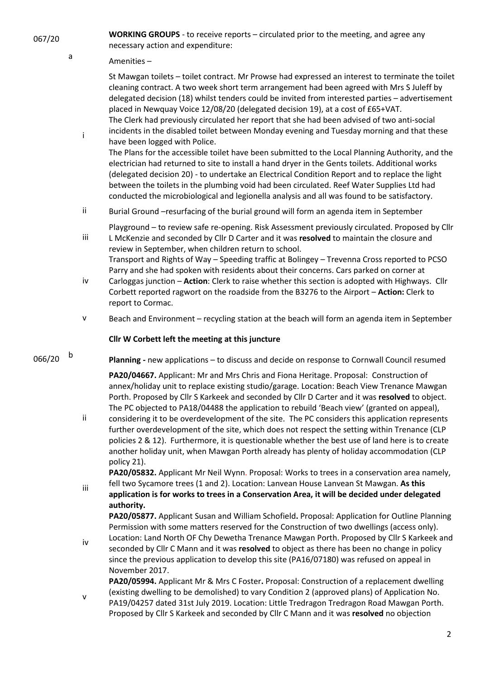a

i

iii

**WORKING GROUPS** - to receive reports – circulated prior to the meeting, and agree any necessary action and expenditure:

## Amenities –

St Mawgan toilets – toilet contract. Mr Prowse had expressed an interest to terminate the toilet cleaning contract. A two week short term arrangement had been agreed with Mrs S Juleff by delegated decision (18) whilst tenders could be invited from interested parties – advertisement placed in Newquay Voice 12/08/20 (delegated decision 19), at a cost of £65+VAT. The Clerk had previously circulated her report that she had been advised of two anti-social incidents in the disabled toilet between Monday evening and Tuesday morning and that these

have been logged with Police. The Plans for the accessible toilet have been submitted to the Local Planning Authority, and the electrician had returned to site to install a hand dryer in the Gents toilets. Additional works (delegated decision 20) - to undertake an Electrical Condition Report and to replace the light between the toilets in the plumbing void had been circulated. Reef Water Supplies Ltd had conducted the microbiological and legionella analysis and all was found to be satisfactory.

ii Burial Ground –resurfacing of the burial ground will form an agenda item in September

Playground – to review safe re-opening. Risk Assessment previously circulated. Proposed by Cllr L McKenzie and seconded by Cllr D Carter and it was **resolved** to maintain the closure and review in September, when children return to school.

Transport and Rights of Way – Speeding traffic at Bolingey – Trevenna Cross reported to PCSO Parry and she had spoken with residents about their concerns. Cars parked on corner at

- iv Carloggas junction – **Action**: Clerk to raise whether this section is adopted with Highways. Cllr Corbett reported ragwort on the roadside from the B3276 to the Airport – **Action:** Clerk to report to Cormac.
- v Beach and Environment recycling station at the beach will form an agenda item in September

## **Cllr W Corbett left the meeting at this juncture**

 $066/20$  b

**Planning -** new applications – to discuss and decide on response to Cornwall Council resumed

**PA20/04667.** Applicant: Mr and Mrs Chris and Fiona Heritage. Proposal: Construction of annex/holiday unit to replace existing studio/garage. Location: Beach View Trenance Mawgan Porth. Proposed by Cllr S Karkeek and seconded by Cllr D Carter and it was **resolved** to object. The PC objected to PA18/04488 the application to rebuild 'Beach view' (granted on appeal),

ii considering it to be overdevelopment of the site. The PC considers this application represents further overdevelopment of the site, which does not respect the setting within Trenance (CLP policies 2 & 12). Furthermore, it is questionable whether the best use of land here is to create another holiday unit, when Mawgan Porth already has plenty of holiday accommodation (CLP policy 21).

**PA20/05832.** Applicant Mr Neil Wynn. Proposal: Works to trees in a conservation area namely, fell two Sycamore trees (1 and 2). Location: Lanvean House Lanvean St Mawgan. **As this** 

iii **application is for works to trees in a Conservation Area, it will be decided under delegated authority.**

**PA20/05877.** Applicant Susan and William Schofield**.** Proposal: Application for Outline Planning Permission with some matters reserved for the Construction of two dwellings (access only). Location: Land North OF Chy Dewetha Trenance Mawgan Porth. Proposed by Cllr S Karkeek and

iv seconded by Cllr C Mann and it was **resolved** to object as there has been no change in policy since the previous application to develop this site (PA16/07180) was refused on appeal in November 2017.

**PA20/05994.** Applicant Mr & Mrs C Foster**.** Proposal: Construction of a replacement dwelling (existing dwelling to be demolished) to vary Condition 2 (approved plans) of Application No.

v PA19/04257 dated 31st July 2019. Location: Little Tredragon Tredragon Road Mawgan Porth. Proposed by Cllr S Karkeek and seconded by Cllr C Mann and it was **resolved** no objection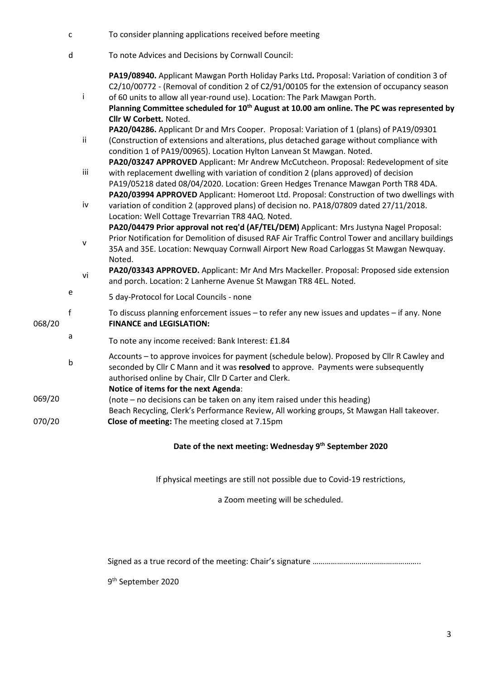|        | $\mathsf{C}$ |              | To consider planning applications received before meeting                                                                                                                                                                                                                                                                                                                                                   |
|--------|--------------|--------------|-------------------------------------------------------------------------------------------------------------------------------------------------------------------------------------------------------------------------------------------------------------------------------------------------------------------------------------------------------------------------------------------------------------|
|        | d            |              | To note Advices and Decisions by Cornwall Council:                                                                                                                                                                                                                                                                                                                                                          |
|        |              | Ť            | PA19/08940. Applicant Mawgan Porth Holiday Parks Ltd. Proposal: Variation of condition 3 of<br>C2/10/00772 - (Removal of condition 2 of C2/91/00105 for the extension of occupancy season<br>of 60 units to allow all year-round use). Location: The Park Mawgan Porth.<br>Planning Committee scheduled for 10 <sup>th</sup> August at 10.00 am online. The PC was represented by<br>Cllr W Corbett. Noted. |
|        |              | ii           | PA20/04286. Applicant Dr and Mrs Cooper. Proposal: Variation of 1 (plans) of PA19/09301<br>(Construction of extensions and alterations, plus detached garage without compliance with<br>condition 1 of PA19/00965). Location Hylton Lanvean St Mawgan. Noted.                                                                                                                                               |
|        |              | iii          | PA20/03247 APPROVED Applicant: Mr Andrew McCutcheon. Proposal: Redevelopment of site<br>with replacement dwelling with variation of condition 2 (plans approved) of decision<br>PA19/05218 dated 08/04/2020. Location: Green Hedges Trenance Mawgan Porth TR8 4DA.                                                                                                                                          |
|        |              | iv           | PA20/03994 APPROVED Applicant: Homeroot Ltd. Proposal: Construction of two dwellings with<br>variation of condition 2 (approved plans) of decision no. PA18/07809 dated 27/11/2018.<br>Location: Well Cottage Trevarrian TR8 4AQ. Noted.                                                                                                                                                                    |
|        |              | $\mathsf{V}$ | PA20/04479 Prior approval not req'd (AF/TEL/DEM) Applicant: Mrs Justyna Nagel Proposal:<br>Prior Notification for Demolition of disused RAF Air Traffic Control Tower and ancillary buildings<br>35A and 35E. Location: Newquay Cornwall Airport New Road Carloggas St Mawgan Newquay.<br>Noted.                                                                                                            |
|        |              | vi           | PA20/03343 APPROVED. Applicant: Mr And Mrs Mackeller. Proposal: Proposed side extension<br>and porch. Location: 2 Lanherne Avenue St Mawgan TR8 4EL. Noted.                                                                                                                                                                                                                                                 |
|        | e            |              | 5 day-Protocol for Local Councils - none                                                                                                                                                                                                                                                                                                                                                                    |
| 068/20 | $\mathbf f$  |              | To discuss planning enforcement issues - to refer any new issues and updates - if any. None<br><b>FINANCE and LEGISLATION:</b>                                                                                                                                                                                                                                                                              |
|        | a            |              | To note any income received: Bank Interest: £1.84                                                                                                                                                                                                                                                                                                                                                           |
|        | b            |              | Accounts - to approve invoices for payment (schedule below). Proposed by Cllr R Cawley and<br>seconded by Cllr C Mann and it was resolved to approve. Payments were subsequently<br>authorised online by Chair, Cllr D Carter and Clerk.<br>Notice of items for the next Agenda:                                                                                                                            |
| 069/20 |              |              | (note - no decisions can be taken on any item raised under this heading)<br>Beach Recycling, Clerk's Performance Review, All working groups, St Mawgan Hall takeover.                                                                                                                                                                                                                                       |
| 070/20 |              |              | Close of meeting: The meeting closed at 7.15pm                                                                                                                                                                                                                                                                                                                                                              |

## **Date of the next meeting: Wednesday 9th September 2020**

If physical meetings are still not possible due to Covid-19 restrictions,

a Zoom meeting will be scheduled.

Signed as a true record of the meeting: Chair's signature ……………………………………………..

9 th September 2020